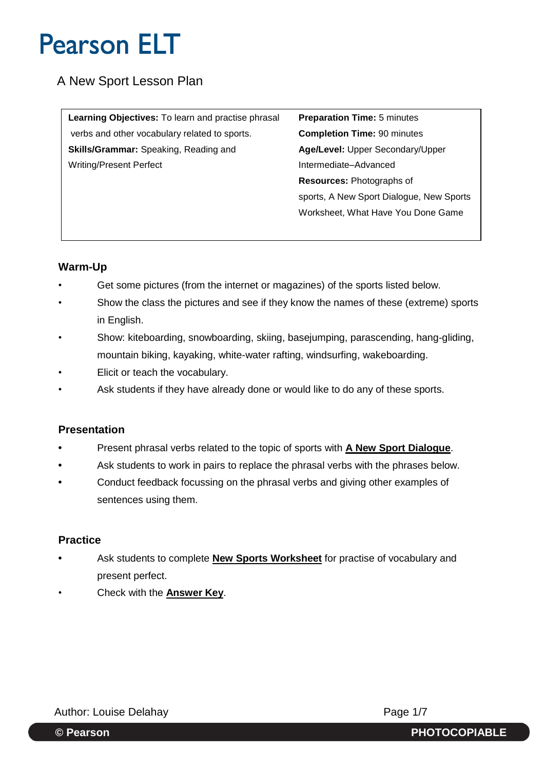# A New Sport Lesson Plan

**Learning Objectives:** To learn and practise phrasal **Preparation Time:** 5 minutes verbs and other vocabulary related to sports. **Completion Time:** 90 minutes **Skills/Grammar:** Speaking, Reading and **Age/Level:** Upper Secondary/Upper Writing/Present Perfect **Intermediate–Advanced** 

**Resources:** Photographs of sports, A New Sport Dialogue, New Sports Worksheet, What Have You Done Game

### **Warm-Up**

- Get some pictures (from the internet or magazines) of the sports listed below.
- Show the class the pictures and see if they know the names of these (extreme) sports in English.
- Show: kiteboarding, snowboarding, skiing, basejumping, parascending, hang-gliding, mountain biking, kayaking, white-water rafting, windsurfing, wakeboarding.
- Elicit or teach the vocabulary.
- Ask students if they have already done or would like to do any of these sports.

## **Presentation**

- **•** Present phrasal verbs related to the topic of sports with **A New Sport Dialogue**.
- **•** Ask students to work in pairs to replace the phrasal verbs with the phrases below.
- **•** Conduct feedback focussing on the phrasal verbs and giving other examples of sentences using them.

### **Practice**

- **•** Ask students to complete **New Sports Worksheet** for practise of vocabulary and present perfect.
- Check with the **Answer Key**.

Author: Louise Delahay **Page 1/7** 

**© Pearson PHOTOCOPIABLE**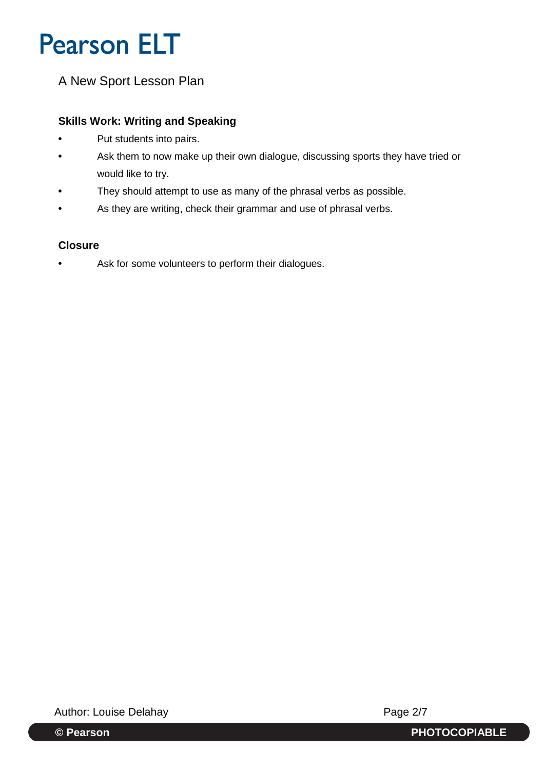# A New Sport Lesson Plan

### **Skills Work: Writing and Speaking**

- **•** Put students into pairs.
- **•** Ask them to now make up their own dialogue, discussing sports they have tried or would like to try.
- **•** They should attempt to use as many of the phrasal verbs as possible.
- **•** As they are writing, check their grammar and use of phrasal verbs.

### **Closure**

**•** Ask for some volunteers to perform their dialogues.

Author: Louise Delahay **Page 2/7** 

**© Pearson PHOTOCOPIABLE**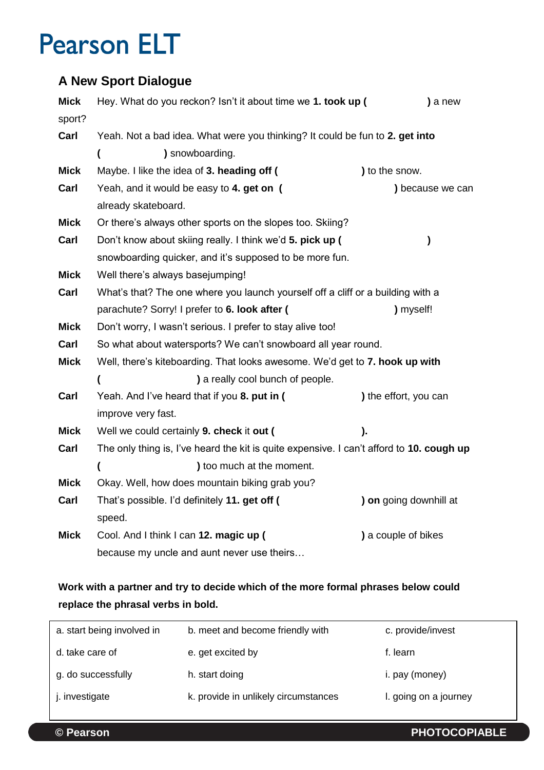# **A New Sport Dialogue**

| <b>Mick</b> | Hey. What do you reckon? Isn't it about time we 1. took up (                             | ) a new                |  |
|-------------|------------------------------------------------------------------------------------------|------------------------|--|
| sport?      |                                                                                          |                        |  |
| Carl        | Yeah. Not a bad idea. What were you thinking? It could be fun to 2. get into             |                        |  |
|             | ) snowboarding.<br>$\overline{\mathbf{r}}$                                               |                        |  |
| <b>Mick</b> | Maybe. I like the idea of 3. heading off (                                               | ) to the snow.         |  |
| Carl        | Yeah, and it would be easy to 4. get on (                                                | ) because we can       |  |
|             | already skateboard.                                                                      |                        |  |
| <b>Mick</b> | Or there's always other sports on the slopes too. Skiing?                                |                        |  |
| Carl        | Don't know about skiing really. I think we'd 5. pick up (                                | )                      |  |
|             | snowboarding quicker, and it's supposed to be more fun.                                  |                        |  |
| <b>Mick</b> | Well there's always basejumping!                                                         |                        |  |
| Carl        | What's that? The one where you launch yourself off a cliff or a building with a          |                        |  |
|             | parachute? Sorry! I prefer to 6. look after (                                            | ) myself!              |  |
| <b>Mick</b> | Don't worry, I wasn't serious. I prefer to stay alive too!                               |                        |  |
| Carl        | So what about watersports? We can't snowboard all year round.                            |                        |  |
| <b>Mick</b> | Well, there's kiteboarding. That looks awesome. We'd get to 7. hook up with              |                        |  |
|             | ) a really cool bunch of people.<br>€                                                    |                        |  |
| Carl        | Yeah. And I've heard that if you 8. put in (                                             | ) the effort, you can  |  |
|             | improve very fast.                                                                       |                        |  |
| <b>Mick</b> | Well we could certainly 9. check it out (                                                | ).                     |  |
| Carl        | The only thing is, I've heard the kit is quite expensive. I can't afford to 10. cough up |                        |  |
|             | ) too much at the moment.<br>$\overline{\mathcal{L}}$                                    |                        |  |
| <b>Mick</b> | Okay. Well, how does mountain biking grab you?                                           |                        |  |
| Carl        | That's possible. I'd definitely 11. get off (                                            | ) on going downhill at |  |
|             | speed.                                                                                   |                        |  |
| Mick        | Cool. And I think I can 12. magic up (                                                   | ) a couple of bikes    |  |
|             | because my uncle and aunt never use theirs                                               |                        |  |

# **Work with a partner and try to decide which of the more formal phrases below could replace the phrasal verbs in bold.**

| a. start being involved in | b. meet and become friendly with     | c. provide/invest     |
|----------------------------|--------------------------------------|-----------------------|
| d. take care of            | e. get excited by                    | f. learn              |
| g. do successfully         | h. start doing                       | i. pay (money)        |
| i. investigate             | k. provide in unlikely circumstances | I. going on a journey |
|                            |                                      |                       |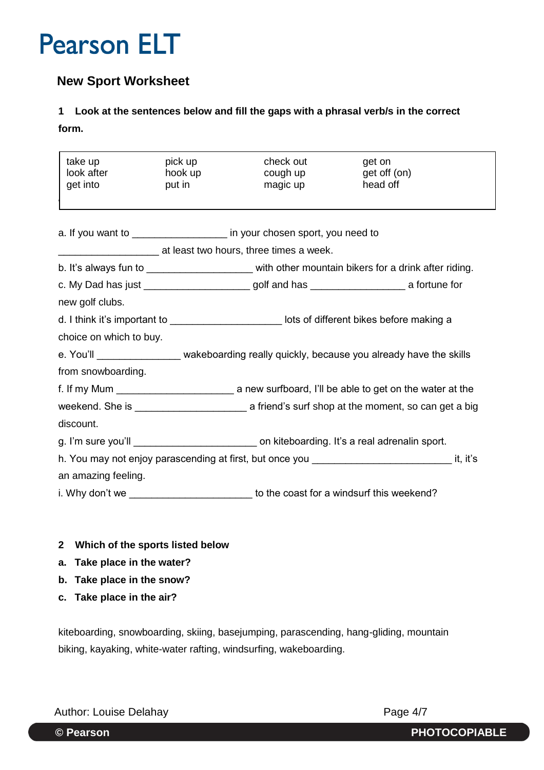## **New Sport Worksheet**

## **1 Look at the sentences below and fill the gaps with a phrasal verb/s in the correct form.**

| take up<br>look after <b>the controller of the controller</b>                         | pick up<br>hook up                                                                             | check out<br>cough up                                                 | get on<br>get off (on)                                                                                                |
|---------------------------------------------------------------------------------------|------------------------------------------------------------------------------------------------|-----------------------------------------------------------------------|-----------------------------------------------------------------------------------------------------------------------|
| get into                                                                              | put in                                                                                         | magic up                                                              | head off                                                                                                              |
|                                                                                       |                                                                                                |                                                                       |                                                                                                                       |
|                                                                                       |                                                                                                | a. If you want to _________________ in your chosen sport, you need to |                                                                                                                       |
|                                                                                       |                                                                                                | at least two hours, three times a week.                               |                                                                                                                       |
|                                                                                       |                                                                                                |                                                                       | b. It's always fun to _______________________ with other mountain bikers for a drink after riding.                    |
|                                                                                       | c. My Dad has just ________________________golf and has ________________________ a fortune for |                                                                       |                                                                                                                       |
| new golf clubs.                                                                       |                                                                                                |                                                                       |                                                                                                                       |
|                                                                                       |                                                                                                |                                                                       | d. I think it's important to <b>with the controller controller to the controller controller controller controller</b> |
| choice on which to buy.                                                               |                                                                                                |                                                                       |                                                                                                                       |
|                                                                                       |                                                                                                |                                                                       | e. You'll __________________ wakeboarding really quickly, because you already have the skills                         |
| from snowboarding.                                                                    |                                                                                                |                                                                       |                                                                                                                       |
|                                                                                       |                                                                                                |                                                                       |                                                                                                                       |
|                                                                                       |                                                                                                |                                                                       |                                                                                                                       |
| discount.                                                                             |                                                                                                |                                                                       |                                                                                                                       |
|                                                                                       |                                                                                                |                                                                       | g. I'm sure you'll example the contract on kiteboarding. It's a real adrenalin sport.                                 |
|                                                                                       |                                                                                                |                                                                       | h. You may not enjoy parascending at first, but once you _________________________________it, it's                    |
| an amazing feeling.                                                                   |                                                                                                |                                                                       |                                                                                                                       |
| i. Why don't we ____________________________to the coast for a windsurf this weekend? |                                                                                                |                                                                       |                                                                                                                       |
|                                                                                       |                                                                                                |                                                                       |                                                                                                                       |

- **2 Which of the sports listed below**
- **a. Take place in the water?**
- **b. Take place in the snow?**
- **c. Take place in the air?**

kiteboarding, snowboarding, skiing, basejumping, parascending, hang-gliding, mountain biking, kayaking, white-water rafting, windsurfing, wakeboarding.

Author: Louise Delahay **Page 4/7** 

**© Pearson PHOTOCOPIABLE**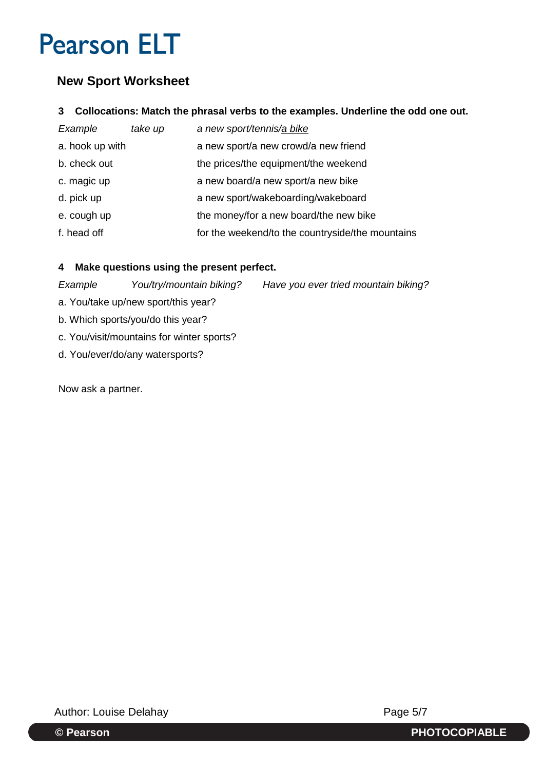# **New Sport Worksheet**

#### **3 Collocations: Match the phrasal verbs to the examples. Underline the odd one out.**

| Example         | take up | a new sport/tennis/a bike                        |
|-----------------|---------|--------------------------------------------------|
| a. hook up with |         | a new sport/a new crowd/a new friend             |
| b. check out    |         | the prices/the equipment/the weekend             |
| c. magic up     |         | a new board/a new sport/a new bike               |
| d. pick up      |         | a new sport/wakeboarding/wakeboard               |
| e. cough up     |         | the money/for a new board/the new bike           |
| f. head off     |         | for the weekend/to the countryside/the mountains |

### **4 Make questions using the present perfect.**

*Example You/try/mountain biking? Have you ever tried mountain biking?*

- a. You/take up/new sport/this year?
- b. Which sports/you/do this year?
- c. You/visit/mountains for winter sports?
- d. You/ever/do/any watersports?

Now ask a partner.

Author: Louise Delahay **Page 5/7**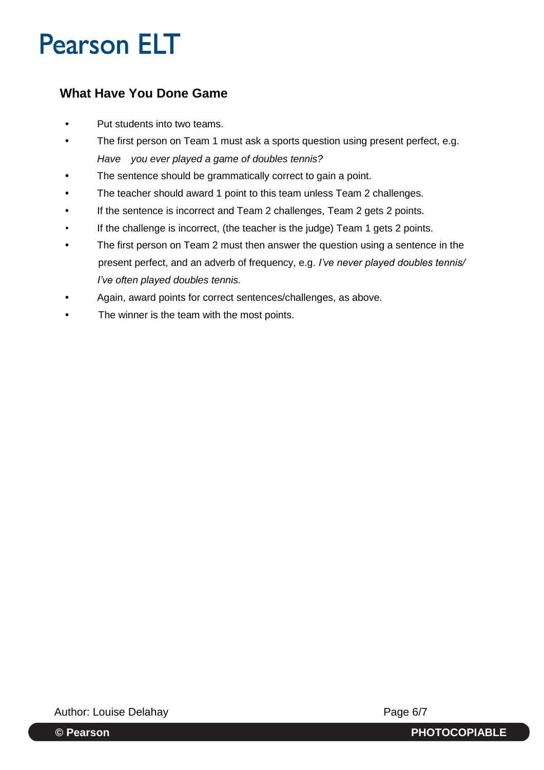# **What Have You Done Game**

- Put students into two teams.
- **•** The first person on Team 1 must ask a sports question using present perfect, e.g. *Have you ever played a game of doubles tennis?*
- **•** The sentence should be grammatically correct to gain a point.
- **•** The teacher should award 1 point to this team unless Team 2 challenges.
- **•** If the sentence is incorrect and Team 2 challenges, Team 2 gets 2 points.
- If the challenge is incorrect, (the teacher is the judge) Team 1 gets 2 points.
- **•** The first person on Team 2 must then answer the question using a sentence in the present perfect, and an adverb of frequency, e.g. *I've never played doubles tennis/ I've often played doubles tennis.*
- **•** Again, award points for correct sentences/challenges, as above.
- **•** The winner is the team with the most points.

Author: Louise Delahay **Page 6/7**